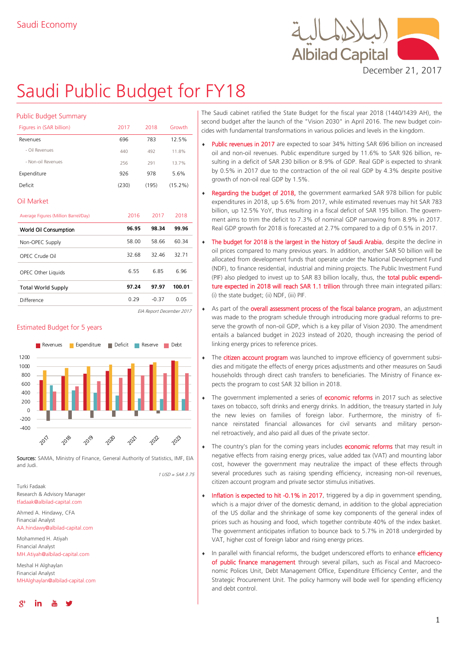

December 21, 2017

# Saudi Public Budget for FY18

| <b>Public Budget Summary</b>         |       |       |        |  |
|--------------------------------------|-------|-------|--------|--|
| Figures in (SAR billion)             | 2017  | 2018  | Growth |  |
| Revenues                             | 696   | 783   |        |  |
| - Oil Revenues                       | 440   | 492   | 11.8%  |  |
| - Non-oil Revenues                   | 256   | 291   |        |  |
| Expenditure                          | 926   | 978   | 5.6%   |  |
| Deficit                              | (230) | (195) |        |  |
| Oil Market                           |       |       |        |  |
| Average Figures (Million Barrel/Day) | 2016  | 2017  | 2018   |  |
| World Oil Consumption                | 96.95 | 98.34 | 99.96  |  |
| Non-OPEC Supply                      | 58.00 | 58.66 | 60.34  |  |
| OPEC Crude Oil                       | 32.68 | 32.46 | 32.71  |  |
| OPEC Other Liquids                   | 6.55  | 6.85  | 6.96   |  |
|                                      |       | 97.97 | 100.01 |  |
| <b>Total World Supply</b>            | 97.24 |       |        |  |

EIA Report December 2017

#### Estimated Budget for 5 years



Sources: SAMA, Ministry of Finance, General Authority of Statistics, IMF, EIA and Judi.

 $1115D - SAR 275$ 

Turki Fadaak Research & Advisory Manager tfadaak@albilad-capital.com

Ahmed A. Hindawy, CFA Financial Analyst

#### AA.hindawy@albilad-capital.com

Mohammed H. Atiyah Financial Analyst MH.Atiyah@albilad-capital.com

Meshal H Alghaylan Financial Analyst MHAlghaylan@albilad-capital.com



The Saudi cabinet ratified the State Budget for the fiscal year 2018 (1440/1439 AH), the second budget after the launch of the "Vision 2030" in April 2016. The new budget coincides with fundamental transformations in various policies and levels in the kingdom.

- Public revenues in 2017 are expected to soar 34% hitting SAR 696 billion on increased oil and non-oil revenues. Public expenditure surged by 11.6% to SAR 926 billion, resulting in a deficit of SAR 230 billion or 8.9% of GDP. Real GDP is expected to shrank by 0.5% in 2017 due to the contraction of the oil real GDP by 4.3% despite positive growth of non-oil real GDP by 1.5%.
- Regarding the budget of 2018, the government earmarked SAR 978 billion for public expenditures in 2018, up 5.6% from 2017, while estimated revenues may hit SAR 783 billion, up 12.5% YoY, thus resulting in a fiscal deficit of SAR 195 billion. The government aims to trim the deficit to 7.3% of nominal GDP narrowing from 8.9% in 2017. Real GDP growth for 2018 is forecasted at 2.7% compared to a dip of 0.5% in 2017.
- The budget for 2018 is the largest in the history of Saudi Arabia, despite the decline in oil prices compared to many previous years. In addition, another SAR 50 billion will be allocated from development funds that operate under the National Development Fund (NDF), to finance residential, industrial and mining projects. The Public Investment Fund (PIF) also pledged to invest up to SAR 83 billion locally, thus, the total public expenditure expected in 2018 will reach SAR 1.1 trillion through three main integrated pillars: (i) the state budget; (ii) NDF, (iii) PIF.
- As part of the overall assessment process of the fiscal balance program, an adjustment was made to the program schedule through introducing more gradual reforms to preserve the growth of non-oil GDP, which is a key pillar of Vision 2030. The amendment entails a balanced budget in 2023 instead of 2020, though increasing the period of linking energy prices to reference prices.
- The citizen account program was launched to improve efficiency of government subsidies and mitigate the effects of energy prices adjustments and other measures on Saudi households through direct cash transfers to beneficiaries. The Ministry of Finance expects the program to cost SAR 32 billion in 2018.
- The government implemented a series of **economic reforms** in 2017 such as selective taxes on tobacco, soft drinks and energy drinks. In addition, the treasury started in July the new levies on families of foreign labor. Furthermore, the ministry of finance reinstated financial allowances for civil servants and military personnel retroactively, and also paid all dues of the private sector.
- The country's plan for the coming years includes **economic reforms** that may result in negative effects from raising energy prices, value added tax (VAT) and mounting labor cost, however the government may neutralize the impact of these effects through several procedures such as raising spending efficiency, increasing non-oil revenues, citizen account program and private sector stimulus initiatives.
- Inflation is expected to hit -0.1% in 2017, triggered by a dip in government spending, which is a major driver of the domestic demand, in addition to the global appreciation of the US dollar and the shrinkage of some key components of the general index of prices such as housing and food, which together contribute 40% of the index basket. The government anticipates inflation to bounce back to 5.7% in 2018 undergirded by VAT, higher cost of foreign labor and rising energy prices.
- In parallel with financial reforms, the budget underscored efforts to enhance efficiency of public finance management through several pillars, such as Fiscal and Macroeconomic Polices Unit, Debt Management Office, Expenditure Efficiency Center, and the Strategic Procurement Unit. The policy harmony will bode well for spending efficiency and debt control.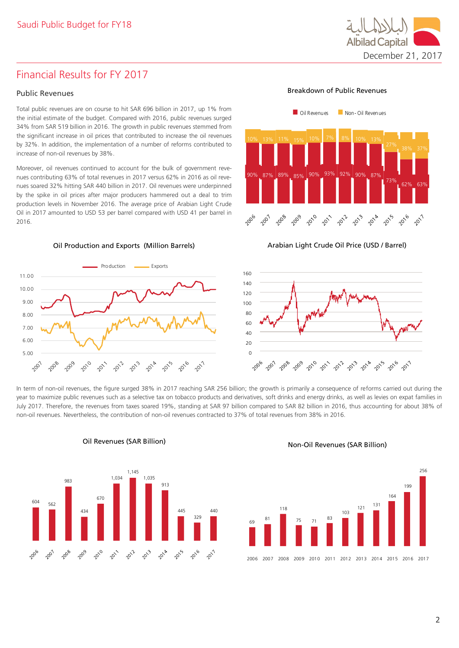

# Financial Results for FY 2017

#### Public Revenues

Total public revenues are on course to hit SAR 696 billion in 2017, up 1% from the initial estimate of the budget. Compared with 2016, public revenues surged 34% from SAR 519 billion in 2016. The growth in public revenues stemmed from the significant increase in oil prices that contributed to increase the oil revenues by 32%. In addition, the implementation of a number of reforms contributed to increase of non-oil revenues by 38%.

Moreover, oil revenues continued to account for the bulk of government revenues contributing 63% of total revenues in 2017 versus 62% in 2016 as oil revenues soared 32% hitting SAR 440 billion in 2017. Oil revenues were underpinned by the spike in oil prices after major producers hammered out a deal to trim production levels in November 2016. The average price of Arabian Light Crude Oil in 2017 amounted to USD 53 per barrel compared with USD 41 per barrel in 2016.

#### Oil Production and Exports (Million Barrels)



Breakdown of Public Revenues



Arabian Light Crude Oil Price (USD / Barrel)



In term of non-oil revenues, the figure surged 38% in 2017 reaching SAR 256 billion; the growth is primarily a consequence of reforms carried out during the year to maximize public revenues such as a selective tax on tobacco products and derivatives, soft drinks and energy drinks, as well as levies on expat families in July 2017. Therefore, the revenues from taxes soared 19%, standing at SAR 97 billion compared to SAR 82 billion in 2016, thus accounting for about 38% of non-oil revenues. Nevertheless, the contribution of non-oil revenues contracted to 37% of total revenues from 38% in 2016.



#### Oil Revenues (SAR Billion)

#### Non-Oil Revenues (SAR Billion)

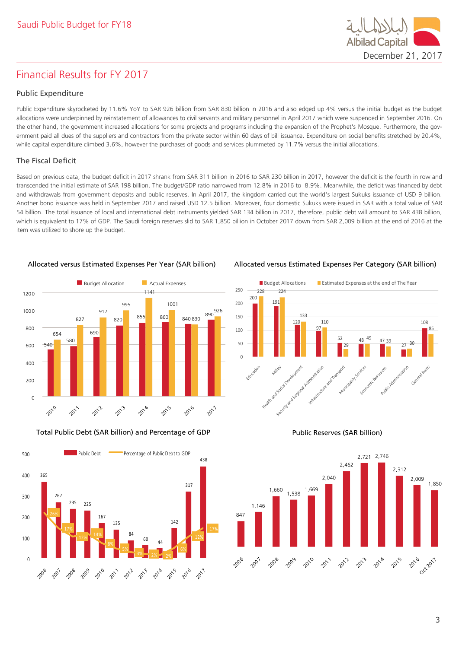# Financial Results for FY 2017

#### Public Expenditure

Public Expenditure skyrocketed by 11.6% YoY to SAR 926 billion from SAR 830 billion in 2016 and also edged up 4% versus the initial budget as the budget allocations were underpinned by reinstatement of allowances to civil servants and military personnel in April 2017 which were suspended in September 2016. On the other hand, the government increased allocations for some projects and programs including the expansion of the Prophet's Mosque. Furthermore, the government paid all dues of the suppliers and contractors from the private sector within 60 days of bill issuance. Expenditure on social benefits stretched by 20.4%, while capital expenditure climbed 3.6%, however the purchases of goods and services plummeted by 11.7% versus the initial allocations.

### The Fiscal Deficit

Based on previous data, the budget deficit in 2017 shrank from SAR 311 billion in 2016 to SAR 230 billion in 2017, however the deficit is the fourth in row and transcended the initial estimate of SAR 198 billion. The budget/GDP ratio narrowed from 12.8% in 2016 to 8.9%. Meanwhile, the deficit was financed by debt and withdrawals from government deposits and public reserves. In April 2017, the kingdom carried out the world's largest Sukuks issuance of USD 9 billion. Another bond issuance was held in September 2017 and raised USD 12.5 billion. Moreover, four domestic Sukuks were issued in SAR with a total value of SAR 54 billion. The total issuance of local and international debt instruments yielded SAR 134 billion in 2017, therefore, public debt will amount to SAR 438 billion, which is equivalent to 17% of GDP. The Saudi foreign reserves slid to SAR 1,850 billion in October 2017 down from SAR 2,009 billion at the end of 2016 at the item was utilized to shore up the budget.



Total Public Debt (SAR billion) and Percentage of GDP Public Reserves (SAR billion)



Allocated versus Estimated Expenses Per Year (SAR billion) Allocated versus Estimated Expenses Per Category (SAR billion)

December 21, 2017

**Albilad Capita** 







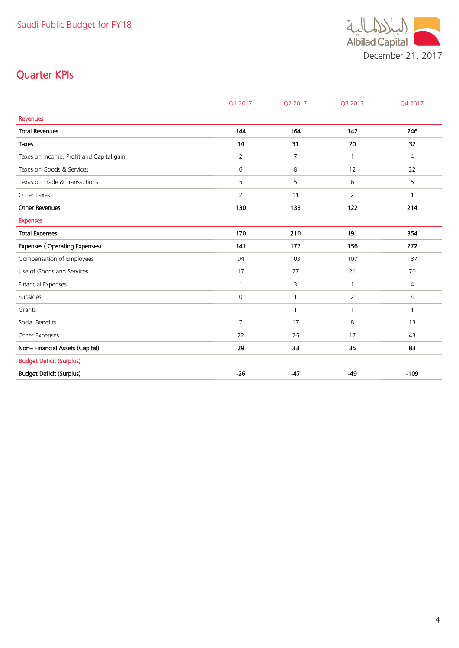

# Quarter KPIs

|                                          | Q1 2017        | Q2 2017        | Q3 2017        | Q4 2017        |
|------------------------------------------|----------------|----------------|----------------|----------------|
| <b>Revenues</b>                          |                |                |                |                |
| <b>Total Revenues</b>                    | 144            | 164            | 142            | 246            |
| <b>Taxes</b>                             | 14             | 31             | 20             | 32             |
| Taxes on Income, Profit and Capital gain | $\overline{2}$ | $\overline{7}$ |                | $\overline{4}$ |
| Taxes on Goods & Services                | 6              | 8              | 12             | 22             |
| Texas on Trade & Transactions            | 5              | 5              | 6              | 5              |
| Other Taxes                              | $\overline{2}$ | 11             | $\overline{2}$ | 1              |
| <b>Other Revenues</b>                    | 130            | 133            | 122            | 214            |
| <b>Expenses</b>                          |                |                |                |                |
| <b>Total Expenses</b>                    | 170            | 210            | 191            | 354            |
| Expenses (Operating Expenses)            | 141            | 177            | 156            | 272            |
| Compensation of Employees                | 94             | 103            | 107            | 137            |
| Use of Goods and Services                | 17             | 27             | 21             | 70             |
| <b>Financial Expenses</b>                | $\mathbf{1}$   | 3              | 1              | $\overline{4}$ |
| Subsides                                 | $\mathbf 0$    | 1              | 2              | $\overline{4}$ |
| Grants                                   | $\mathbf{1}$   | $\mathbf{1}$   | 1              | $\mathbf{1}$   |
| Social Benefits                          | $\overline{7}$ | 17             | 8              | 13             |
| Other Expenses                           | 22             | 26             | 17             | 43             |
| Non-Financial Assets (Capital)           | 29             | 33             | 35             | 83             |
| <b>Budget Deficit (Surplus)</b>          |                |                |                |                |
| <b>Budget Deficit (Surplus)</b>          | $-26$          | $-47$          | $-49$          | $-109$         |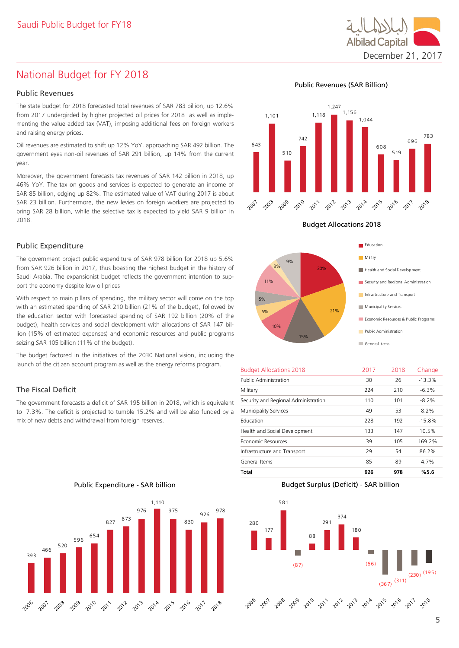# National Budget for FY 2018

#### Public Revenues

The state budget for 2018 forecasted total revenues of SAR 783 billion, up 12.6% from 2017 undergirded by higher projected oil prices for 2018 as well as implementing the value added tax (VAT), imposing additional fees on foreign workers and raising energy prices.

Oil revenues are estimated to shift up 12% YoY, approaching SAR 492 billion. The government eyes non-oil revenues of SAR 291 billion, up 14% from the current year.

Moreover, the government forecasts tax revenues of SAR 142 billion in 2018, up 46% YoY. The tax on goods and services is expected to generate an income of SAR 85 billion, edging up 82%. The estimated value of VAT during 2017 is about SAR 23 billion. Furthermore, the new levies on foreign workers are projected to bring SAR 28 billion, while the selective tax is expected to yield SAR 9 billion in 2018.

#### Public Expenditure

The government project public expenditure of SAR 978 billion for 2018 up 5.6% from SAR 926 billion in 2017, thus boasting the highest budget in the history of Saudi Arabia. The expansionist budget reflects the government intention to support the economy despite low oil prices

With respect to main pillars of spending, the military sector will come on the top with an estimated spending of SAR 210 billion (21% of the budget), followed by the education sector with forecasted spending of SAR 192 billion (20% of the budget), health services and social development with allocations of SAR 147 billion (15% of estimated expenses) and economic resources and public programs seizing SAR 105 billion (11% of the budget).

The budget factored in the initiatives of the 2030 National vision, including the launch of the citizen account program as well as the energy reforms program.

#### The Fiscal Deficit

The government forecasts a deficit of SAR 195 billion in 2018, which is equivalent to 7.3%. The deficit is projected to tumble 15.2% and will be also funded by a mix of new debts and withdrawal from foreign reserves.

Public Expenditure - SAR billion



Public Revenues (SAR Billion)



Budget Allocations 2018



| <b>Budget Allocations 2018</b>       | 2017 | 2018 | Change   |
|--------------------------------------|------|------|----------|
| <b>Public Administration</b>         | 30   | 26   | $-13.3%$ |
| Military                             | 224  | 210  | $-6.3%$  |
| Security and Regional Administration | 110  | 101  | $-8.2\%$ |
| <b>Municipality Services</b>         | 49   | 53   | 8.2%     |
| Education                            | 228  | 192  | $-15.8%$ |
| Health and Social Development        | 133  | 147  | 10.5%    |
| Economic Resources                   | 39   | 105  | 169.2%   |
| Infrastructure and Transport         | 29   | 54   | 86.2%    |
| General Items                        | 85   | 89   | 4.7%     |
| Total                                | 926  | 978  | %5.6     |

Budget Surplus (Deficit) - SAR billion



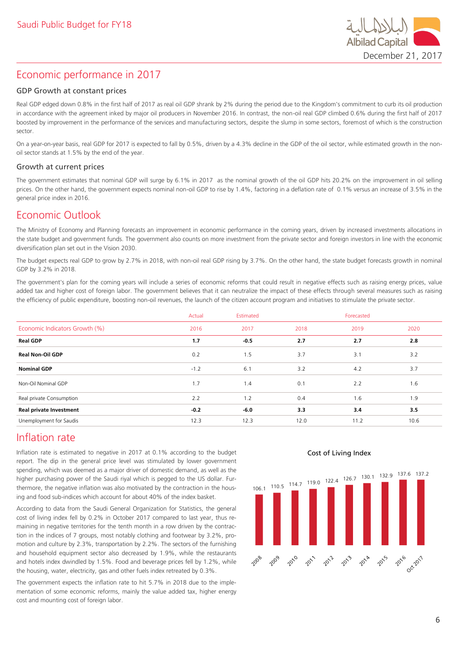

# Economic performance in 2017

#### GDP Growth at constant prices

Real GDP edged down 0.8% in the first half of 2017 as real oil GDP shrank by 2% during the period due to the Kingdom's commitment to curb its oil production in accordance with the agreement inked by major oil producers in November 2016. In contrast, the non-oil real GDP climbed 0.6% during the first half of 2017 boosted by improvement in the performance of the services and manufacturing sectors, despite the slump in some sectors, foremost of which is the construction sector.

On a year-on-year basis, real GDP for 2017 is expected to fall by 0.5%, driven by a 4.3% decline in the GDP of the oil sector, while estimated growth in the nonoil sector stands at 1.5% by the end of the year.

#### Growth at current prices

The government estimates that nominal GDP will surge by 6.1% in 2017 as the nominal growth of the oil GDP hits 20.2% on the improvement in oil selling prices. On the other hand, the government expects nominal non-oil GDP to rise by 1.4%, factoring in a deflation rate of 0.1% versus an increase of 3.5% in the general price index in 2016.

# Economic Outlook

The Ministry of Economy and Planning forecasts an improvement in economic performance in the coming years, driven by increased investments allocations in the state budget and government funds. The government also counts on more investment from the private sector and foreign investors in line with the economic diversification plan set out in the Vision 2030.

The budget expects real GDP to grow by 2.7% in 2018, with non-oil real GDP rising by 3.7%. On the other hand, the state budget forecasts growth in nominal GDP by 3.2% in 2018.

The government's plan for the coming years will include a series of economic reforms that could result in negative effects such as raising energy prices, value added tax and higher cost of foreign labor. The government believes that it can neutralize the impact of these effects through several measures such as raising the efficiency of public expenditure, boosting non-oil revenues, the launch of the citizen account program and initiatives to stimulate the private sector.

|                                | Estimated<br>Actual |        |      |      |      |
|--------------------------------|---------------------|--------|------|------|------|
| Economic Indicators Growth (%) | 2016                | 2017   | 2018 | 2019 | 2020 |
| <b>Real GDP</b>                | 1.7                 | $-0.5$ | 2.7  | 2.7  | 2.8  |
| <b>Real Non-Oil GDP</b>        | 0.2                 | 1.5    | 3.7  | 3.1  | 3.2  |
| <b>Nominal GDP</b>             | $-1.2$              | 6.1    | 3.2  | 4.2  | 3.7  |
| Non-Oil Nominal GDP            | 1.7                 | 1.4    | 0.1  | 2.2  | 1.6  |
| Real private Consumption       | 2.2                 | 1.2    | 0.4  | 1.6  | 1.9  |
| <b>Real private Investment</b> | $-0.2$              | $-6.0$ | 3.3  | 3.4  | 3.5  |
| Unemployment for Saudis        | 12.3                | 12.3   | 12.0 | 11.2 | 10.6 |

# Inflation rate

Inflation rate is estimated to negative in 2017 at 0.1% according to the budget report. The dip in the general price level was stimulated by lower government spending, which was deemed as a major driver of domestic demand, as well as the higher purchasing power of the Saudi riyal which is pegged to the US dollar. Furthermore, the negative inflation was also motivated by the contraction in the housing and food sub-indices which account for about 40% of the index basket.

According to data from the Saudi General Organization for Statistics, the general cost of living index fell by 0.2% in October 2017 compared to last year, thus remaining in negative territories for the tenth month in a row driven by the contraction in the indices of 7 groups, most notably clothing and footwear by 3.2%, promotion and culture by 2.3%, transportation by 2.2%. The sectors of the furnishing and household equipment sector also decreased by 1.9%, while the restaurants and hotels index dwindled by 1.5%. Food and beverage prices fell by 1.2%, while the housing, water, electricity, gas and other fuels index retreated by 0.3%.

The government expects the inflation rate to hit 5.7% in 2018 due to the implementation of some economic reforms, mainly the value added tax, higher energy cost and mounting cost of foreign labor.

#### Cost of Living Index

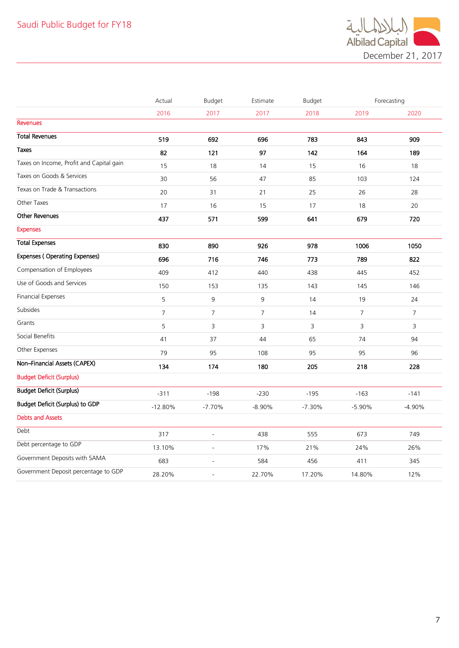

|                                          | Actual         | Budget         | Estimate       | Budget   |                | Forecasting |
|------------------------------------------|----------------|----------------|----------------|----------|----------------|-------------|
|                                          | 2016           | 2017           | 2017           | 2018     | 2019           | 2020        |
| <b>Revenues</b>                          |                |                |                |          |                |             |
| <b>Total Revenues</b>                    | 519            | 692            | 696            | 783      | 843            | 909         |
| <b>Taxes</b>                             | 82             | 121            | 97             | 142      | 164            | 189         |
| Taxes on Income, Profit and Capital gain | 15             | 18             | 14             | 15       | 16             | 18          |
| Taxes on Goods & Services                | 30             | 56             | 47             | 85       | 103            | 124         |
| Texas on Trade & Transactions            | 20             | 31             | 21             | 25       | 26             | 28          |
| Other Taxes                              | 17             | 16             | 15             | 17       | 18             | 20          |
| <b>Other Revenues</b>                    | 437            | 571            | 599            | 641      | 679            | 720         |
| <b>Expenses</b>                          |                |                |                |          |                |             |
| <b>Total Expenses</b>                    | 830            | 890            | 926            | 978      | 1006           | 1050        |
| <b>Expenses (Operating Expenses)</b>     | 696            | 716            | 746            | 773      | 789            | 822         |
| Compensation of Employees                | 409            | 412            | 440            | 438      | 445            | 452         |
| Use of Goods and Services                | 150            | 153            | 135            | 143      | 145            | 146         |
| <b>Financial Expenses</b>                | 5              | 9              | 9              | 14       | 19             | 24          |
| Subsides                                 | $\overline{7}$ | $\overline{7}$ | $\overline{7}$ | 14       | $\overline{7}$ | 7           |
| Grants                                   | 5              | 3              | 3              | 3        | 3              | 3           |
| Social Benefits                          | 41             | 37             | 44             | 65       | 74             | 94          |
| Other Expenses                           | 79             | 95             | 108            | 95       | 95             | 96          |
| Non-Financial Assets (CAPEX)             | 134            | 174            | 180            | 205      | 218            | 228         |
| <b>Budget Deficit (Surplus)</b>          |                |                |                |          |                |             |
| <b>Budget Deficit (Surplus)</b>          | $-311$         | $-198$         | $-230$         | $-195$   | $-163$         | $-141$      |
| Budget Deficit (Surplus) to GDP          | $-12.80%$      | $-7.70%$       | $-8.90%$       | $-7.30%$ | $-5.90%$       | $-4.90%$    |
| <b>Debts and Assets</b>                  |                |                |                |          |                |             |
| Debt                                     | 317            | $\overline{a}$ | 438            | 555      | 673            | 749         |
| Debt percentage to GDP                   | 13.10%         | $\overline{a}$ | 17%            | 21%      | 24%            | 26%         |
| Government Deposits with SAMA            | 683            | $\overline{a}$ | 584            | 456      | 411            | 345         |
| Government Deposit percentage to GDP     | 28.20%         | L,             | 22.70%         | 17.20%   | 14.80%         | 12%         |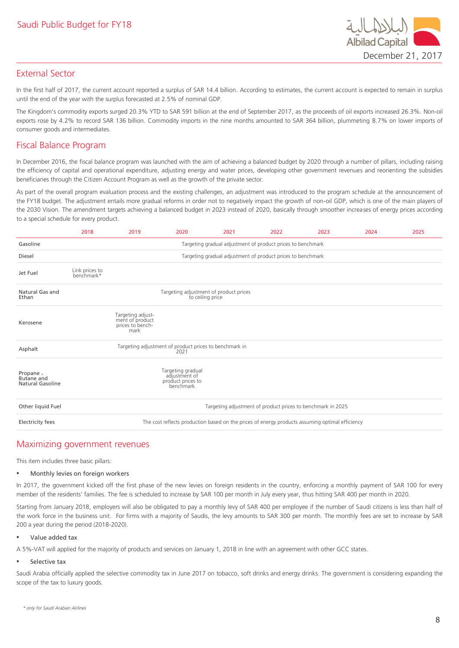

# External Sector

In the first half of 2017, the current account reported a surplus of SAR 14.4 billion. According to estimates, the current account is expected to remain in surplus until the end of the year with the surplus forecasted at 2.5% of nominal GDP.

The Kingdom's commodity exports surged 20.3% YTD to SAR 591 billion at the end of September 2017, as the proceeds of oil exports increased 26.3%. Non-oil exports rose by 4.2% to record SAR 136 billion. Commodity imports in the nine months amounted to SAR 364 billion, plummeting 8.7% on lower imports of consumer goods and intermediates.

# Fiscal Balance Program

In December 2016, the fiscal balance program was launched with the aim of achieving a balanced budget by 2020 through a number of pillars, including raising the efficiency of capital and operational expenditure, adjusting energy and water prices, developing other government revenues and reorienting the subsidies beneficiaries through the Citizen Account Program as well as the growth of the private sector.

As part of the overall program evaluation process and the existing challenges, an adjustment was introduced to the program schedule at the announcement of the FY18 budget. The adjustment entails more gradual reforms in order not to negatively impact the growth of non-oil GDP, which is one of the main players of the 2030 Vision. The amendment targets achieving a balanced budget in 2023 instead of 2020, basically through smoother increases of energy prices according to a special schedule for every product.

|                                                   | 2018                                                        | 2019                                                             | 2020                                                                 | 2021                                   | 2022                                                        | 2023                                                                                            | 2024 | 2025 |  |
|---------------------------------------------------|-------------------------------------------------------------|------------------------------------------------------------------|----------------------------------------------------------------------|----------------------------------------|-------------------------------------------------------------|-------------------------------------------------------------------------------------------------|------|------|--|
| Gasoline                                          | Targeting gradual adjustment of product prices to benchmark |                                                                  |                                                                      |                                        |                                                             |                                                                                                 |      |      |  |
| Diesel                                            |                                                             |                                                                  |                                                                      |                                        | Targeting gradual adjustment of product prices to benchmark |                                                                                                 |      |      |  |
| Jet Fuel                                          | Link prices to<br>benchmark*                                |                                                                  |                                                                      |                                        |                                                             |                                                                                                 |      |      |  |
| Natural Gas and<br>Ethan                          |                                                             |                                                                  | to ceiling price                                                     | Targeting adjustment of product prices |                                                             |                                                                                                 |      |      |  |
| Kerosene                                          |                                                             | Targeting adjust-<br>ment of product<br>prices to bench-<br>mark |                                                                      |                                        |                                                             |                                                                                                 |      |      |  |
| Asphalt                                           |                                                             | Targeting adjustment of product prices to benchmark in           | 2021                                                                 |                                        |                                                             |                                                                                                 |      |      |  |
| Propane,<br>Butane and<br><b>Natural Gasoline</b> |                                                             |                                                                  | Targeting gradual<br>adjustment of<br>product prices to<br>benchmark |                                        |                                                             |                                                                                                 |      |      |  |
| Other liquid Fuel                                 | Targeting adjustment of product prices to benchmark in 2025 |                                                                  |                                                                      |                                        |                                                             |                                                                                                 |      |      |  |
| <b>Electricity fees</b>                           |                                                             |                                                                  |                                                                      |                                        |                                                             | The cost reflects production based on the prices of energy products assuming optimal efficiency |      |      |  |

# Maximizing government revenues

This item includes three basic pillars:

#### ▪ Monthly levies on foreign workers

In 2017, the government kicked off the first phase of the new levies on foreign residents in the country, enforcing a monthly payment of SAR 100 for every member of the residents' families. The fee is scheduled to increase by SAR 100 per month in July every year, thus hitting SAR 400 per month in 2020.

Starting from January 2018, employers will also be obligated to pay a monthly levy of SAR 400 per employee if the number of Saudi citizens is less than half of the work force in the business unit. For firms with a majority of Saudis, the levy amounts to SAR 300 per month. The monthly fees are set to increase by SAR 200 a year during the period (2018-2020).

#### ▪ Value added tax

A 5%-VAT will applied for the majority of products and services on January 1, 2018 in line with an agreement with other GCC states.

#### Selective tax

Saudi Arabia officially applied the selective commodity tax in June 2017 on tobacco, soft drinks and energy drinks. The government is considering expanding the scope of the tax to luxury goods.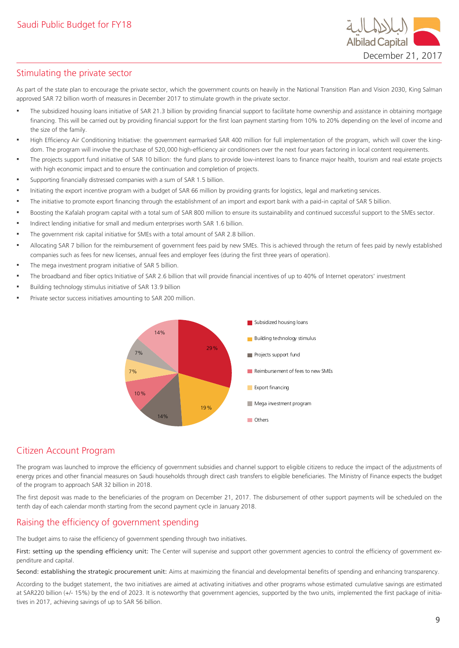

# Stimulating the private sector

As part of the state plan to encourage the private sector, which the government counts on heavily in the National Transition Plan and Vision 2030, King Salman approved SAR 72 billion worth of measures in December 2017 to stimulate growth in the private sector.

- The subsidized housing loans initiative of SAR 21.3 billion by providing financial support to facilitate home ownership and assistance in obtaining mortgage financing. This will be carried out by providing financial support for the first loan payment starting from 10% to 20% depending on the level of income and the size of the family.
- High Efficiency Air Conditioning Initiative: the government earmarked SAR 400 million for full implementation of the program, which will cover the kingdom. The program will involve the purchase of 520,000 high-efficiency air conditioners over the next four years factoring in local content requirements.
- The projects support fund initiative of SAR 10 billion: the fund plans to provide low-interest loans to finance major health, tourism and real estate projects with high economic impact and to ensure the continuation and completion of projects.
- Supporting financially distressed companies with a sum of SAR 1.5 billion.
- Initiating the export incentive program with a budget of SAR 66 million by providing grants for logistics, legal and marketing services.
- The initiative to promote export financing through the establishment of an import and export bank with a paid-in capital of SAR 5 billion.
- Boosting the Kafalah program capital with a total sum of SAR 800 million to ensure its sustainability and continued successful support to the SMEs sector.
- Indirect lending initiative for small and medium enterprises worth SAR 1.6 billion.
- The government risk capital initiative for SMEs with a total amount of SAR 2.8 billion.
- Allocating SAR 7 billion for the reimbursement of government fees paid by new SMEs. This is achieved through the return of fees paid by newly established companies such as fees for new licenses, annual fees and employer fees (during the first three years of operation).
- The mega investment program initiative of SAR 5 billion.
- The broadband and fiber optics Initiative of SAR 2.6 billion that will provide financial incentives of up to 40% of Internet operators' investment
- Building technology stimulus initiative of SAR 13.9 billion
- Private sector success initiatives amounting to SAR 200 million.



# Citizen Account Program

The program was launched to improve the efficiency of government subsidies and channel support to eligible citizens to reduce the impact of the adjustments of energy prices and other financial measures on Saudi households through direct cash transfers to eligible beneficiaries. The Ministry of Finance expects the budget of the program to approach SAR 32 billion in 2018.

The first deposit was made to the beneficiaries of the program on December 21, 2017. The disbursement of other support payments will be scheduled on the tenth day of each calendar month starting from the second payment cycle in January 2018.

# Raising the efficiency of government spending

The budget aims to raise the efficiency of government spending through two initiatives.

First: setting up the spending efficiency unit: The Center will supervise and support other government agencies to control the efficiency of government expenditure and capital.

Second: establishing the strategic procurement unit: Aims at maximizing the financial and developmental benefits of spending and enhancing transparency.

According to the budget statement, the two initiatives are aimed at activating initiatives and other programs whose estimated cumulative savings are estimated at SAR220 billion (+/- 15%) by the end of 2023. It is noteworthy that government agencies, supported by the two units, implemented the first package of initiatives in 2017, achieving savings of up to SAR 56 billion.